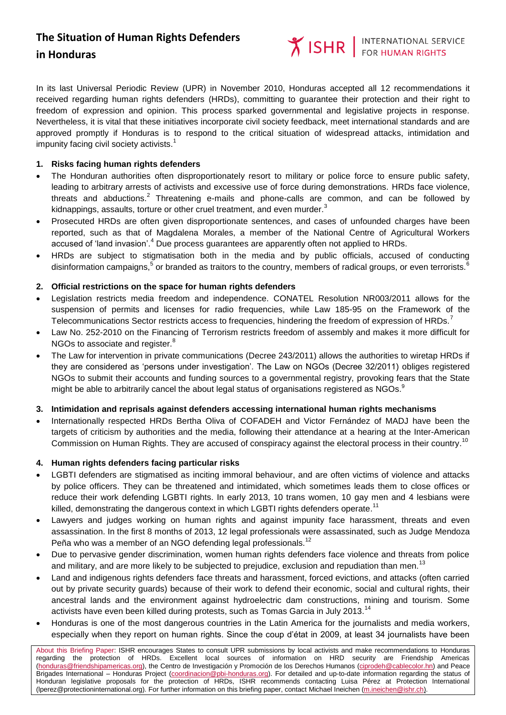**Y ISHR** FOR HUMAN RIGHTS

In its last Universal Periodic Review (UPR) in November 2010, Honduras accepted all 12 recommendations it received regarding human rights defenders (HRDs), committing to guarantee their protection and their right to freedom of expression and opinion. This process sparked governmental and legislative projects in response. Nevertheless, it is vital that these initiatives incorporate civil society feedback, meet international standards and are approved promptly if Honduras is to respond to the critical situation of widespread attacks, intimidation and impunity facing civil society activists. $^1$ 

### **1. Risks facing human rights defenders**

- The Honduran authorities often disproportionately resort to military or police force to ensure public safety, leading to arbitrary arrests of activists and excessive use of force during demonstrations. HRDs face violence, threats and abductions.<sup>2</sup> Threatening e-mails and phone-calls are common, and can be followed by kidnappings, assaults, torture or other cruel treatment, and even murder. $3$
- Prosecuted HRDs are often given disproportionate sentences, and cases of unfounded charges have been reported, such as that of Magdalena Morales, a member of the National Centre of Agricultural Workers accused of 'land invasion'.<sup>4</sup> Due process guarantees are apparently often not applied to HRDs.
- HRDs are subject to stigmatisation both in the media and by public officials, accused of conducting disinformation campaigns,  $^5$  or branded as traitors to the country, members of radical groups, or even terrorists.  $^6$

### **2. Official restrictions on the space for human rights defenders**

- Legislation restricts media freedom and independence. CONATEL Resolution NR003/2011 allows for the suspension of permits and licenses for radio frequencies, while Law 185-95 on the Framework of the Telecommunications Sector restricts access to frequencies, hindering the freedom of expression of HRDs.<sup>7</sup>
- Law No. 252-2010 on the Financing of Terrorism restricts freedom of assembly and makes it more difficult for NGOs to associate and register.<sup>8</sup>
- The Law for intervention in private communications (Decree 243/2011) allows the authorities to wiretap HRDs if they are considered as 'persons under investigation'. The Law on NGOs (Decree 32/2011) obliges registered NGOs to submit their accounts and funding sources to a governmental registry, provoking fears that the State might be able to arbitrarily cancel the about legal status of organisations registered as NGOs.<sup>9</sup>

#### **3. Intimidation and reprisals against defenders accessing international human rights mechanisms**

 Internationally respected HRDs Bertha Oliva of COFADEH and Victor Fernández of MADJ have been the targets of criticism by authorities and the media, following their attendance at a hearing at the Inter-American Commission on Human Rights. They are accused of conspiracy against the electoral process in their country.<sup>10</sup>

#### **4. Human rights defenders facing particular risks**

- LGBTI defenders are stigmatised as inciting immoral behaviour, and are often victims of violence and attacks by police officers. They can be threatened and intimidated, which sometimes leads them to close offices or reduce their work defending LGBTI rights. In early 2013, 10 trans women, 10 gay men and 4 lesbians were killed, demonstrating the dangerous context in which LGBTI rights defenders operate.<sup>11</sup>
- Lawyers and judges working on human rights and against impunity face harassment, threats and even assassination. In the first 8 months of 2013, 12 legal professionals were assassinated, such as Judge Mendoza Peña who was a member of an NGO defending legal professionals.<sup>12</sup>
- Due to pervasive gender discrimination, women human rights defenders face violence and threats from police and military, and are more likely to be subjected to prejudice, exclusion and repudiation than men.<sup>13</sup>
- Land and indigenous rights defenders face threats and harassment, forced evictions, and attacks (often carried out by private security guards) because of their work to defend their economic, social and cultural rights, their ancestral lands and the environment against hydroelectric dam constructions, mining and tourism. Some activists have even been killed during protests, such as Tomas Garcia in July 2013.<sup>14</sup>
- Honduras is one of the most dangerous countries in the Latin America for the journalists and media workers, especially when they report on human rights. Since the coup d'état in 2009, at least 34 journalists have been

About this Briefing Paper: ISHR encourages States to consult UPR submissions by local activists and make recommendations to Honduras regarding the protection of HRDs. Excellent local sources of information on HRD security are Friendship Americas [\(honduras@friendshipamericas.org\)](mailto:honduras@friendshipamericas.org), the Centro de Investigación y Promoción de los Derechos Humanos [\(ciprodeh@cablecolor.hn\)](mailto:ciprodeh@cablecolor.hn) and Peace Brigades International - Honduras Project [\(coordinacion@pbi-honduras.org\)](mailto:coordinacion@pbi-honduras.org). For detailed and up-to-date information regarding the status of Honduran legislative proposals for the protection of HRDs, ISHR recommends contacting Luisa Pérez at Protection International (Iperez@protectioninternational.org). For further information on this briefing paper, contact Michael Ineichen [\(m.ineichen@ishr.ch\)](mailto:m.ineichen@ishr.ch)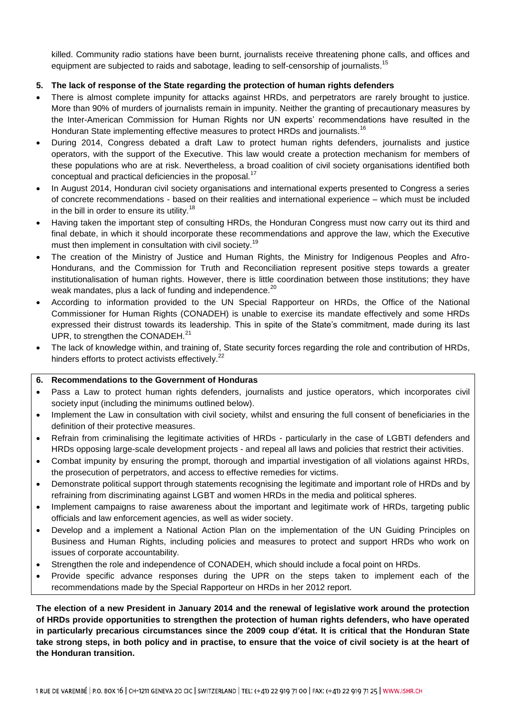killed. Community radio stations have been burnt, journalists receive threatening phone calls, and offices and equipment are subjected to raids and sabotage, leading to self-censorship of journalists.<sup>15</sup>

# **5. The lack of response of the State regarding the protection of human rights defenders**

- There is almost complete impunity for attacks against HRDs, and perpetrators are rarely brought to justice. More than 90% of murders of journalists remain in impunity. Neither the granting of precautionary measures by the Inter-American Commission for Human Rights nor UN experts' recommendations have resulted in the Honduran State implementing effective measures to protect HRDs and journalists.<sup>16</sup>
- During 2014, Congress debated a draft Law to protect human rights defenders, journalists and justice operators, with the support of the Executive. This law would create a protection mechanism for members of these populations who are at risk. Nevertheless, a broad coalition of civil society organisations identified both conceptual and practical deficiencies in the proposal.<sup>17</sup>
- In August 2014, Honduran civil society organisations and international experts presented to Congress a series of concrete recommendations - based on their realities and international experience – which must be included in the bill in order to ensure its utility.<sup>18</sup>
- Having taken the important step of consulting HRDs, the Honduran Congress must now carry out its third and final debate, in which it should incorporate these recommendations and approve the law, which the Executive must then implement in consultation with civil society.<sup>19</sup>
- The creation of the Ministry of Justice and Human Rights, the Ministry for Indigenous Peoples and Afro-Hondurans, and the Commission for Truth and Reconciliation represent positive steps towards a greater institutionalisation of human rights. However, there is little coordination between those institutions; they have weak mandates, plus a lack of funding and independence.<sup>20</sup>
- According to information provided to the UN Special Rapporteur on HRDs, the Office of the National Commissioner for Human Rights (CONADEH) is unable to exercise its mandate effectively and some HRDs expressed their distrust towards its leadership. This in spite of the State's commitment, made during its last UPR, to strengthen the CONADEH.<sup>21</sup>
- The lack of knowledge within, and training of, State security forces regarding the role and contribution of HRDs, hinders efforts to protect activists effectively.<sup>22</sup>

# **6. Recommendations to the Government of Honduras**

- Pass a Law to protect human rights defenders, journalists and justice operators, which incorporates civil society input (including the minimums outlined below).
- Implement the Law in consultation with civil society, whilst and ensuring the full consent of beneficiaries in the definition of their protective measures.
- Refrain from criminalising the legitimate activities of HRDs particularly in the case of LGBTI defenders and HRDs opposing large-scale development projects - and repeal all laws and policies that restrict their activities.
- Combat impunity by ensuring the prompt, thorough and impartial investigation of all violations against HRDs, the prosecution of perpetrators, and access to effective remedies for victims.
- Demonstrate political support through statements recognising the legitimate and important role of HRDs and by refraining from discriminating against LGBT and women HRDs in the media and political spheres.
- Implement campaigns to raise awareness about the important and legitimate work of HRDs, targeting public officials and law enforcement agencies, as well as wider society.
- Develop and a implement a National Action Plan on the implementation of the UN Guiding Principles on Business and Human Rights, including policies and measures to protect and support HRDs who work on issues of corporate accountability.
- Strengthen the role and independence of CONADEH, which should include a focal point on HRDs.
- Provide specific advance responses during the UPR on the steps taken to implement each of the recommendations made by the Special Rapporteur on HRDs in her 2012 report.

**The election of a new President in January 2014 and the renewal of legislative work around the protection of HRDs provide opportunities to strengthen the protection of human rights defenders, who have operated in particularly precarious circumstances since the 2009 coup d'état. It is critical that the Honduran State take strong steps, in both policy and in practise, to ensure that the voice of civil society is at the heart of the Honduran transition.**